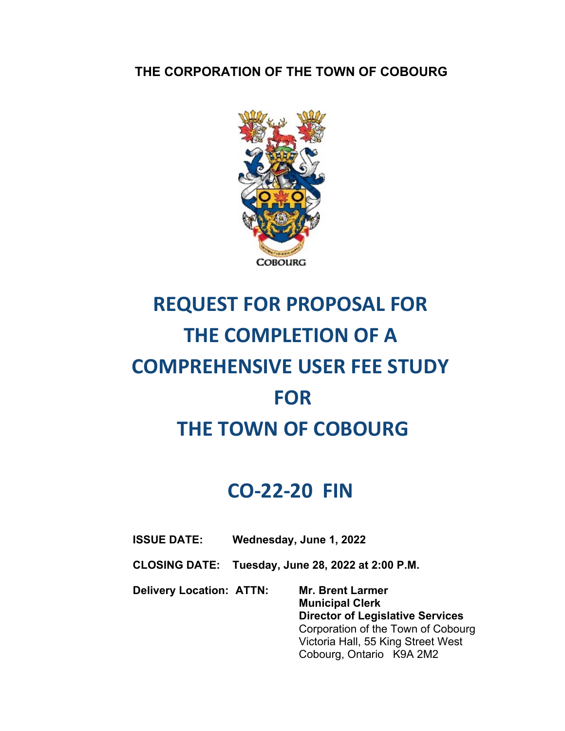**THE CORPORATION OF THE TOWN OF COBOURG** 



# **REQUEST FOR PROPOSAL FOR THE COMPLETION OF A COMPREHENSIVE USER FEE STUDY FOR THE TOWN OF COBOURG**

# **CO‐22‐20 FIN**

- **ISSUE DATE: Wednesday, June 1, 2022**
- **CLOSING DATE: Tuesday, June 28, 2022 at 2:00 P.M.**

**Delivery Location: ATTN: Mr. Brent Larmer Municipal Clerk Director of Legislative Services**  Corporation of the Town of Cobourg Victoria Hall, 55 King Street West Cobourg, Ontario K9A 2M2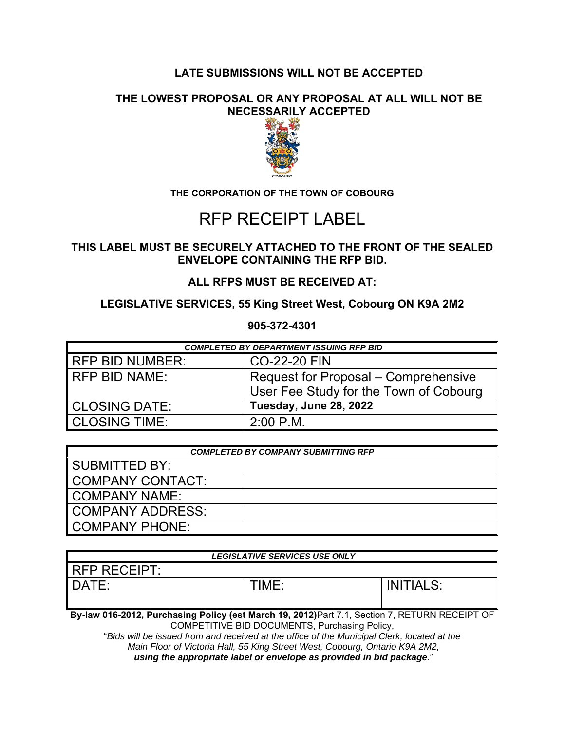#### **LATE SUBMISSIONS WILL NOT BE ACCEPTED**

#### **THE LOWEST PROPOSAL OR ANY PROPOSAL AT ALL WILL NOT BE NECESSARILY ACCEPTED**



#### **THE CORPORATION OF THE TOWN OF COBOURG**

### RFP RECEIPT LABEL

#### **THIS LABEL MUST BE SECURELY ATTACHED TO THE FRONT OF THE SEALED ENVELOPE CONTAINING THE RFP BID.**

**ALL RFPS MUST BE RECEIVED AT:** 

#### **LEGISLATIVE SERVICES, 55 King Street West, Cobourg ON K9A 2M2**

**905-372-4301** 

| <b>COMPLETED BY DEPARTMENT ISSUING RFP BID</b> |                                        |  |
|------------------------------------------------|----------------------------------------|--|
| I RFP BID NUMBER:                              | CO-22-20 FIN                           |  |
| I RFP BID NAME:                                | Request for Proposal - Comprehensive   |  |
|                                                | User Fee Study for the Town of Cobourg |  |
| CLOSING DATE:                                  | Tuesday, June 28, 2022                 |  |
| <b>CLOSING TIME:</b>                           | $2:00$ P.M.                            |  |

| <b>COMPLETED BY COMPANY SUBMITTING RFP</b> |  |  |
|--------------------------------------------|--|--|
| I SUBMITTED BY:                            |  |  |
| COMPANY CONTACT:                           |  |  |
| I COMPANY NAME:                            |  |  |
| COMPANY ADDRESS:                           |  |  |
| COMPANY PHONE:                             |  |  |

| <b>LEGISLATIVE SERVICES USE ONLY</b>                                                             |       |                  |  |  |
|--------------------------------------------------------------------------------------------------|-------|------------------|--|--|
| <b>RFP RECEIPT:</b>                                                                              |       |                  |  |  |
| DATE:                                                                                            | TIME: | <b>INITIALS:</b> |  |  |
| Bu Jam 846,8848, Buncheston, Balter (ast Mandy 48, 8848) Dart 7.4, Osstice 7, DETHENI DEGEIDT OF |       |                  |  |  |

**By-law 016-2012, Purchasing Policy (est March 19, 2012)**Part 7.1, Section 7, RETURN RECEIPT OF COMPETITIVE BID DOCUMENTS, Purchasing Policy,

"*Bids will be issued from and received at the office of the Municipal Clerk, located at the Main Floor of Victoria Hall, 55 King Street West, Cobourg, Ontario K9A 2M2, using the appropriate label or envelope as provided in bid package*."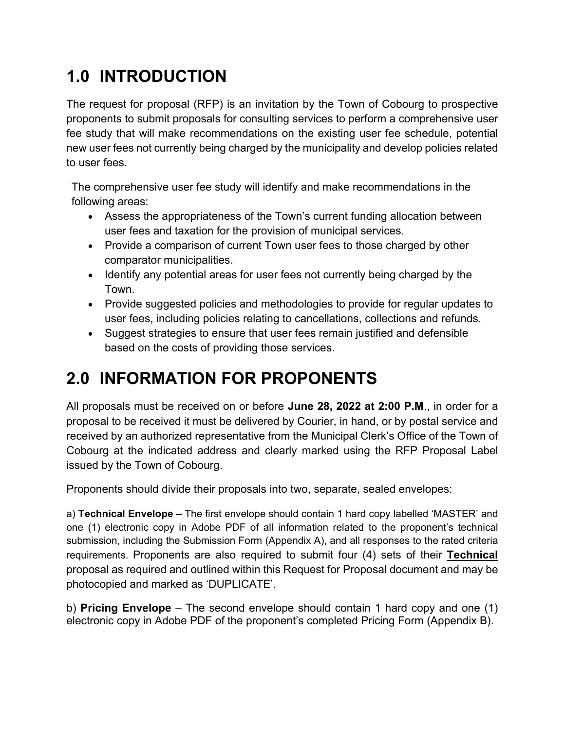# **1.0 INTRODUCTION**

The request for proposal (RFP) is an invitation by the Town of Cobourg to prospective proponents to submit proposals for consulting services to perform a comprehensive user fee study that will make recommendations on the existing user fee schedule, potential new user fees not currently being charged by the municipality and develop policies related to user fees.

The comprehensive user fee study will identify and make recommendations in the following areas:

- Assess the appropriateness of the Town's current funding allocation between user fees and taxation for the provision of municipal services.
- Provide a comparison of current Town user fees to those charged by other comparator municipalities.
- Identify any potential areas for user fees not currently being charged by the Town.
- Provide suggested policies and methodologies to provide for regular updates to user fees, including policies relating to cancellations, collections and refunds.
- Suggest strategies to ensure that user fees remain justified and defensible based on the costs of providing those services.

# **2.0 INFORMATION FOR PROPONENTS**

All proposals must be received on or before **June 28, 2022 at 2:00 P.M**., in order for a proposal to be received it must be delivered by Courier, in hand, or by postal service and received by an authorized representative from the Municipal Clerk's Office of the Town of Cobourg at the indicated address and clearly marked using the RFP Proposal Label issued by the Town of Cobourg.

Proponents should divide their proposals into two, separate, sealed envelopes:

a) **Technical Envelope –** The first envelope should contain 1 hard copy labelled 'MASTER' and one (1) electronic copy in Adobe PDF of all information related to the proponent's technical submission, including the Submission Form (Appendix A), and all responses to the rated criteria requirements. Proponents are also required to submit four (4) sets of their **Technical**  proposal as required and outlined within this Request for Proposal document and may be photocopied and marked as 'DUPLICATE'.

b) **Pricing Envelope** – The second envelope should contain 1 hard copy and one (1) electronic copy in Adobe PDF of the proponent's completed Pricing Form (Appendix B).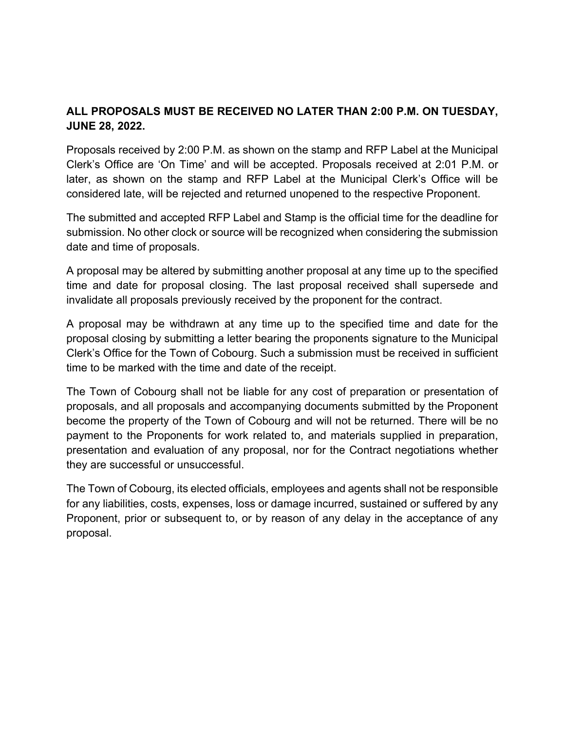#### **ALL PROPOSALS MUST BE RECEIVED NO LATER THAN 2:00 P.M. ON TUESDAY, JUNE 28, 2022.**

Proposals received by 2:00 P.M. as shown on the stamp and RFP Label at the Municipal Clerk's Office are 'On Time' and will be accepted. Proposals received at 2:01 P.M. or later, as shown on the stamp and RFP Label at the Municipal Clerk's Office will be considered late, will be rejected and returned unopened to the respective Proponent.

The submitted and accepted RFP Label and Stamp is the official time for the deadline for submission. No other clock or source will be recognized when considering the submission date and time of proposals.

A proposal may be altered by submitting another proposal at any time up to the specified time and date for proposal closing. The last proposal received shall supersede and invalidate all proposals previously received by the proponent for the contract.

A proposal may be withdrawn at any time up to the specified time and date for the proposal closing by submitting a letter bearing the proponents signature to the Municipal Clerk's Office for the Town of Cobourg. Such a submission must be received in sufficient time to be marked with the time and date of the receipt.

The Town of Cobourg shall not be liable for any cost of preparation or presentation of proposals, and all proposals and accompanying documents submitted by the Proponent become the property of the Town of Cobourg and will not be returned. There will be no payment to the Proponents for work related to, and materials supplied in preparation, presentation and evaluation of any proposal, nor for the Contract negotiations whether they are successful or unsuccessful.

The Town of Cobourg, its elected officials, employees and agents shall not be responsible for any liabilities, costs, expenses, loss or damage incurred, sustained or suffered by any Proponent, prior or subsequent to, or by reason of any delay in the acceptance of any proposal.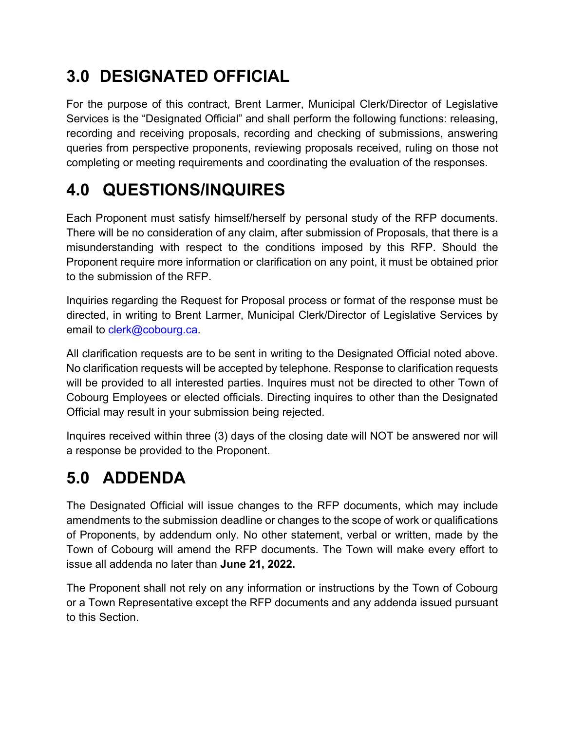# **3.0 DESIGNATED OFFICIAL**

For the purpose of this contract, Brent Larmer, Municipal Clerk/Director of Legislative Services is the "Designated Official" and shall perform the following functions: releasing, recording and receiving proposals, recording and checking of submissions, answering queries from perspective proponents, reviewing proposals received, ruling on those not completing or meeting requirements and coordinating the evaluation of the responses.

### **4.0 QUESTIONS/INQUIRES**

Each Proponent must satisfy himself/herself by personal study of the RFP documents. There will be no consideration of any claim, after submission of Proposals, that there is a misunderstanding with respect to the conditions imposed by this RFP. Should the Proponent require more information or clarification on any point, it must be obtained prior to the submission of the RFP.

Inquiries regarding the Request for Proposal process or format of the response must be directed, in writing to Brent Larmer, Municipal Clerk/Director of Legislative Services by email to clerk@cobourg.ca.

All clarification requests are to be sent in writing to the Designated Official noted above. No clarification requests will be accepted by telephone. Response to clarification requests will be provided to all interested parties. Inquires must not be directed to other Town of Cobourg Employees or elected officials. Directing inquires to other than the Designated Official may result in your submission being rejected.

Inquires received within three (3) days of the closing date will NOT be answered nor will a response be provided to the Proponent.

# **5.0 ADDENDA**

The Designated Official will issue changes to the RFP documents, which may include amendments to the submission deadline or changes to the scope of work or qualifications of Proponents, by addendum only. No other statement, verbal or written, made by the Town of Cobourg will amend the RFP documents. The Town will make every effort to issue all addenda no later than **June 21, 2022.**

The Proponent shall not rely on any information or instructions by the Town of Cobourg or a Town Representative except the RFP documents and any addenda issued pursuant to this Section.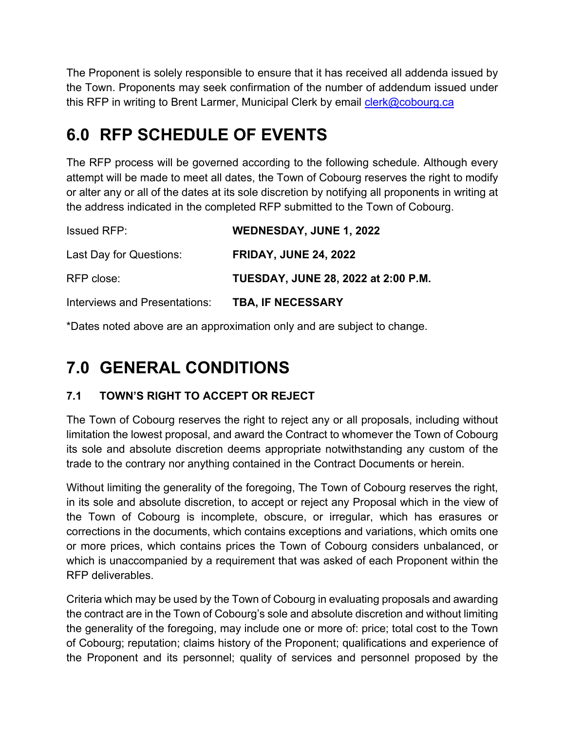The Proponent is solely responsible to ensure that it has received all addenda issued by the Town. Proponents may seek confirmation of the number of addendum issued under this RFP in writing to Brent Larmer, Municipal Clerk by email clerk@cobourg.ca

# **6.0 RFP SCHEDULE OF EVENTS**

The RFP process will be governed according to the following schedule. Although every attempt will be made to meet all dates, the Town of Cobourg reserves the right to modify or alter any or all of the dates at its sole discretion by notifying all proponents in writing at the address indicated in the completed RFP submitted to the Town of Cobourg.

| <b>Issued RFP:</b>            | <b>WEDNESDAY, JUNE 1, 2022</b>             |  |
|-------------------------------|--------------------------------------------|--|
| Last Day for Questions:       | <b>FRIDAY, JUNE 24, 2022</b>               |  |
| RFP close:                    | <b>TUESDAY, JUNE 28, 2022 at 2:00 P.M.</b> |  |
| Interviews and Presentations: | <b>TBA, IF NECESSARY</b>                   |  |

\*Dates noted above are an approximation only and are subject to change.

# **7.0 GENERAL CONDITIONS**

### **7.1 TOWN'S RIGHT TO ACCEPT OR REJECT**

The Town of Cobourg reserves the right to reject any or all proposals, including without limitation the lowest proposal, and award the Contract to whomever the Town of Cobourg its sole and absolute discretion deems appropriate notwithstanding any custom of the trade to the contrary nor anything contained in the Contract Documents or herein.

Without limiting the generality of the foregoing, The Town of Cobourg reserves the right, in its sole and absolute discretion, to accept or reject any Proposal which in the view of the Town of Cobourg is incomplete, obscure, or irregular, which has erasures or corrections in the documents, which contains exceptions and variations, which omits one or more prices, which contains prices the Town of Cobourg considers unbalanced, or which is unaccompanied by a requirement that was asked of each Proponent within the RFP deliverables.

Criteria which may be used by the Town of Cobourg in evaluating proposals and awarding the contract are in the Town of Cobourg's sole and absolute discretion and without limiting the generality of the foregoing, may include one or more of: price; total cost to the Town of Cobourg; reputation; claims history of the Proponent; qualifications and experience of the Proponent and its personnel; quality of services and personnel proposed by the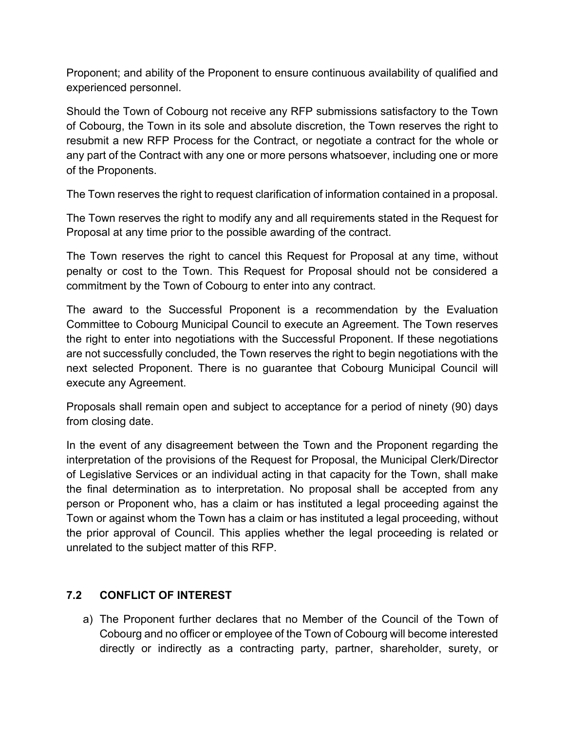Proponent; and ability of the Proponent to ensure continuous availability of qualified and experienced personnel.

Should the Town of Cobourg not receive any RFP submissions satisfactory to the Town of Cobourg, the Town in its sole and absolute discretion, the Town reserves the right to resubmit a new RFP Process for the Contract, or negotiate a contract for the whole or any part of the Contract with any one or more persons whatsoever, including one or more of the Proponents.

The Town reserves the right to request clarification of information contained in a proposal.

The Town reserves the right to modify any and all requirements stated in the Request for Proposal at any time prior to the possible awarding of the contract.

The Town reserves the right to cancel this Request for Proposal at any time, without penalty or cost to the Town. This Request for Proposal should not be considered a commitment by the Town of Cobourg to enter into any contract.

The award to the Successful Proponent is a recommendation by the Evaluation Committee to Cobourg Municipal Council to execute an Agreement. The Town reserves the right to enter into negotiations with the Successful Proponent. If these negotiations are not successfully concluded, the Town reserves the right to begin negotiations with the next selected Proponent. There is no guarantee that Cobourg Municipal Council will execute any Agreement.

Proposals shall remain open and subject to acceptance for a period of ninety (90) days from closing date.

In the event of any disagreement between the Town and the Proponent regarding the interpretation of the provisions of the Request for Proposal, the Municipal Clerk/Director of Legislative Services or an individual acting in that capacity for the Town, shall make the final determination as to interpretation. No proposal shall be accepted from any person or Proponent who, has a claim or has instituted a legal proceeding against the Town or against whom the Town has a claim or has instituted a legal proceeding, without the prior approval of Council. This applies whether the legal proceeding is related or unrelated to the subject matter of this RFP.

#### **7.2 CONFLICT OF INTEREST**

a) The Proponent further declares that no Member of the Council of the Town of Cobourg and no officer or employee of the Town of Cobourg will become interested directly or indirectly as a contracting party, partner, shareholder, surety, or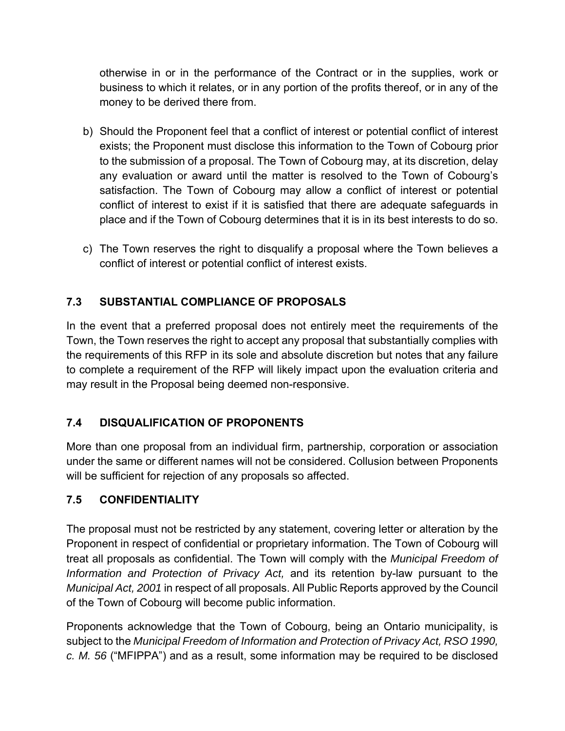otherwise in or in the performance of the Contract or in the supplies, work or business to which it relates, or in any portion of the profits thereof, or in any of the money to be derived there from.

- b) Should the Proponent feel that a conflict of interest or potential conflict of interest exists; the Proponent must disclose this information to the Town of Cobourg prior to the submission of a proposal. The Town of Cobourg may, at its discretion, delay any evaluation or award until the matter is resolved to the Town of Cobourg's satisfaction. The Town of Cobourg may allow a conflict of interest or potential conflict of interest to exist if it is satisfied that there are adequate safeguards in place and if the Town of Cobourg determines that it is in its best interests to do so.
- c) The Town reserves the right to disqualify a proposal where the Town believes a conflict of interest or potential conflict of interest exists.

#### **7.3 SUBSTANTIAL COMPLIANCE OF PROPOSALS**

In the event that a preferred proposal does not entirely meet the requirements of the Town, the Town reserves the right to accept any proposal that substantially complies with the requirements of this RFP in its sole and absolute discretion but notes that any failure to complete a requirement of the RFP will likely impact upon the evaluation criteria and may result in the Proposal being deemed non-responsive.

#### **7.4 DISQUALIFICATION OF PROPONENTS**

More than one proposal from an individual firm, partnership, corporation or association under the same or different names will not be considered. Collusion between Proponents will be sufficient for rejection of any proposals so affected.

#### **7.5 CONFIDENTIALITY**

The proposal must not be restricted by any statement, covering letter or alteration by the Proponent in respect of confidential or proprietary information. The Town of Cobourg will treat all proposals as confidential. The Town will comply with the *Municipal Freedom of Information and Protection of Privacy Act,* and its retention by-law pursuant to the *Municipal Act, 2001* in respect of all proposals. All Public Reports approved by the Council of the Town of Cobourg will become public information.

Proponents acknowledge that the Town of Cobourg, being an Ontario municipality, is subject to the *Municipal Freedom of Information and Protection of Privacy Act, RSO 1990, c. M. 56* ("MFIPPA") and as a result, some information may be required to be disclosed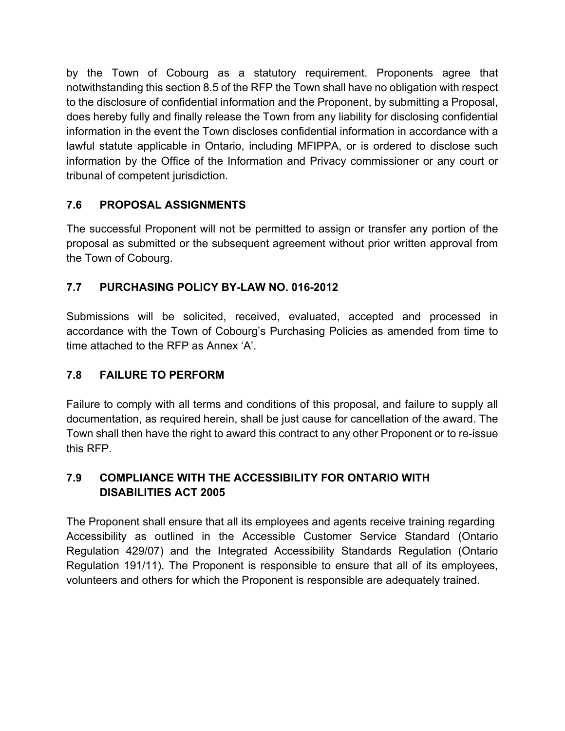by the Town of Cobourg as a statutory requirement. Proponents agree that notwithstanding this section 8.5 of the RFP the Town shall have no obligation with respect to the disclosure of confidential information and the Proponent, by submitting a Proposal, does hereby fully and finally release the Town from any liability for disclosing confidential information in the event the Town discloses confidential information in accordance with a lawful statute applicable in Ontario, including MFIPPA, or is ordered to disclose such information by the Office of the Information and Privacy commissioner or any court or tribunal of competent jurisdiction.

### **7.6 PROPOSAL ASSIGNMENTS**

The successful Proponent will not be permitted to assign or transfer any portion of the proposal as submitted or the subsequent agreement without prior written approval from the Town of Cobourg.

### **7.7 PURCHASING POLICY BY-LAW NO. 016-2012**

Submissions will be solicited, received, evaluated, accepted and processed in accordance with the Town of Cobourg's Purchasing Policies as amended from time to time attached to the RFP as Annex 'A'.

### **7.8 FAILURE TO PERFORM**

Failure to comply with all terms and conditions of this proposal, and failure to supply all documentation, as required herein, shall be just cause for cancellation of the award. The Town shall then have the right to award this contract to any other Proponent or to re-issue this RFP.

### **7.9 COMPLIANCE WITH THE ACCESSIBILITY FOR ONTARIO WITH DISABILITIES ACT 2005**

The Proponent shall ensure that all its employees and agents receive training regarding Accessibility as outlined in the Accessible Customer Service Standard (Ontario Regulation 429/07) and the Integrated Accessibility Standards Regulation (Ontario Regulation 191/11). The Proponent is responsible to ensure that all of its employees, volunteers and others for which the Proponent is responsible are adequately trained.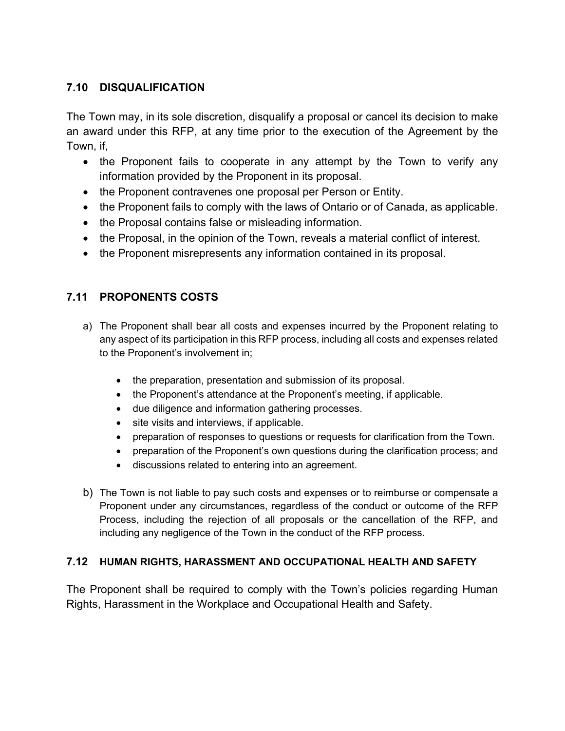#### **7.10 DISQUALIFICATION**

The Town may, in its sole discretion, disqualify a proposal or cancel its decision to make an award under this RFP, at any time prior to the execution of the Agreement by the Town, if,

- the Proponent fails to cooperate in any attempt by the Town to verify any information provided by the Proponent in its proposal.
- the Proponent contravenes one proposal per Person or Entity.
- the Proponent fails to comply with the laws of Ontario or of Canada, as applicable.
- the Proposal contains false or misleading information.
- the Proposal, in the opinion of the Town, reveals a material conflict of interest.
- the Proponent misrepresents any information contained in its proposal.

#### **7.11 PROPONENTS COSTS**

- a) The Proponent shall bear all costs and expenses incurred by the Proponent relating to any aspect of its participation in this RFP process, including all costs and expenses related to the Proponent's involvement in;
	- the preparation, presentation and submission of its proposal.
	- the Proponent's attendance at the Proponent's meeting, if applicable.
	- due diligence and information gathering processes.
	- site visits and interviews, if applicable.
	- preparation of responses to questions or requests for clarification from the Town.
	- preparation of the Proponent's own questions during the clarification process; and
	- discussions related to entering into an agreement.
- b) The Town is not liable to pay such costs and expenses or to reimburse or compensate a Proponent under any circumstances, regardless of the conduct or outcome of the RFP Process, including the rejection of all proposals or the cancellation of the RFP, and including any negligence of the Town in the conduct of the RFP process.

#### **7.12 HUMAN RIGHTS, HARASSMENT AND OCCUPATIONAL HEALTH AND SAFETY**

The Proponent shall be required to comply with the Town's policies regarding Human Rights, Harassment in the Workplace and Occupational Health and Safety.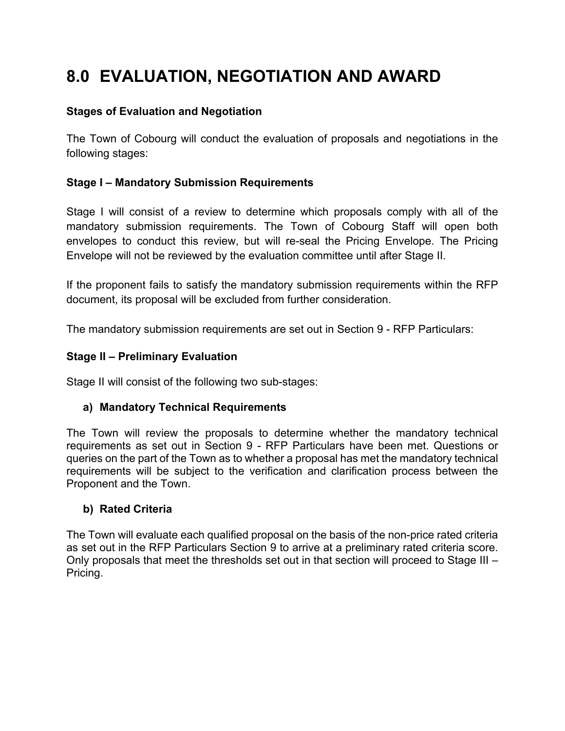### **8.0 EVALUATION, NEGOTIATION AND AWARD**

#### **Stages of Evaluation and Negotiation**

The Town of Cobourg will conduct the evaluation of proposals and negotiations in the following stages:

#### **Stage I – Mandatory Submission Requirements**

Stage I will consist of a review to determine which proposals comply with all of the mandatory submission requirements. The Town of Cobourg Staff will open both envelopes to conduct this review, but will re-seal the Pricing Envelope. The Pricing Envelope will not be reviewed by the evaluation committee until after Stage II.

If the proponent fails to satisfy the mandatory submission requirements within the RFP document, its proposal will be excluded from further consideration.

The mandatory submission requirements are set out in Section 9 - RFP Particulars:

#### **Stage II – Preliminary Evaluation**

Stage II will consist of the following two sub-stages:

#### **a) Mandatory Technical Requirements**

The Town will review the proposals to determine whether the mandatory technical requirements as set out in Section 9 - RFP Particulars have been met. Questions or queries on the part of the Town as to whether a proposal has met the mandatory technical requirements will be subject to the verification and clarification process between the Proponent and the Town.

#### **b) Rated Criteria**

The Town will evaluate each qualified proposal on the basis of the non-price rated criteria as set out in the RFP Particulars Section 9 to arrive at a preliminary rated criteria score. Only proposals that meet the thresholds set out in that section will proceed to Stage III – Pricing.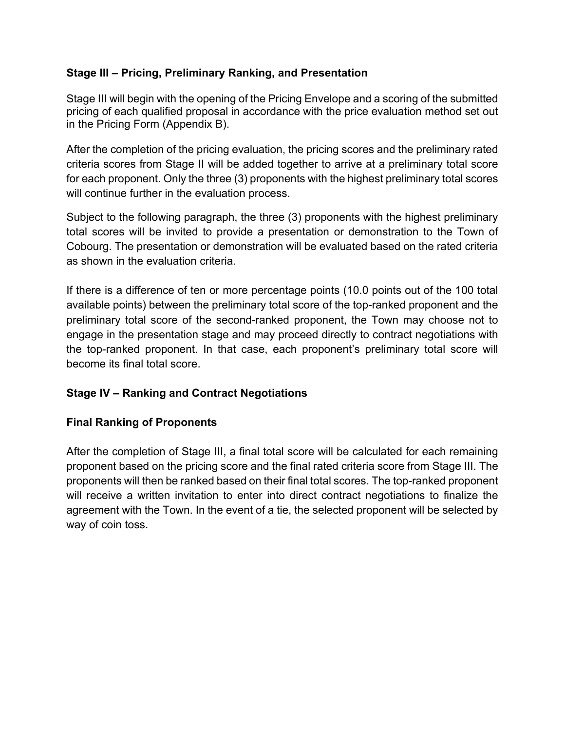#### **Stage III – Pricing, Preliminary Ranking, and Presentation**

Stage III will begin with the opening of the Pricing Envelope and a scoring of the submitted pricing of each qualified proposal in accordance with the price evaluation method set out in the Pricing Form (Appendix B).

After the completion of the pricing evaluation, the pricing scores and the preliminary rated criteria scores from Stage II will be added together to arrive at a preliminary total score for each proponent. Only the three (3) proponents with the highest preliminary total scores will continue further in the evaluation process.

Subject to the following paragraph, the three (3) proponents with the highest preliminary total scores will be invited to provide a presentation or demonstration to the Town of Cobourg. The presentation or demonstration will be evaluated based on the rated criteria as shown in the evaluation criteria.

If there is a difference of ten or more percentage points (10.0 points out of the 100 total available points) between the preliminary total score of the top-ranked proponent and the preliminary total score of the second-ranked proponent, the Town may choose not to engage in the presentation stage and may proceed directly to contract negotiations with the top-ranked proponent. In that case, each proponent's preliminary total score will become its final total score.

#### **Stage IV – Ranking and Contract Negotiations**

#### **Final Ranking of Proponents**

After the completion of Stage III, a final total score will be calculated for each remaining proponent based on the pricing score and the final rated criteria score from Stage III. The proponents will then be ranked based on their final total scores. The top-ranked proponent will receive a written invitation to enter into direct contract negotiations to finalize the agreement with the Town. In the event of a tie, the selected proponent will be selected by way of coin toss.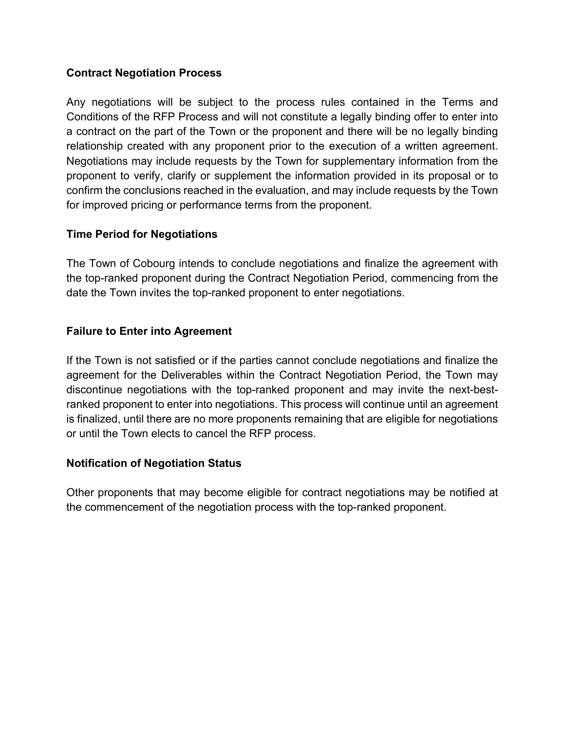#### **Contract Negotiation Process**

Any negotiations will be subject to the process rules contained in the Terms and Conditions of the RFP Process and will not constitute a legally binding offer to enter into a contract on the part of the Town or the proponent and there will be no legally binding relationship created with any proponent prior to the execution of a written agreement. Negotiations may include requests by the Town for supplementary information from the proponent to verify, clarify or supplement the information provided in its proposal or to confirm the conclusions reached in the evaluation, and may include requests by the Town for improved pricing or performance terms from the proponent.

#### **Time Period for Negotiations**

The Town of Cobourg intends to conclude negotiations and finalize the agreement with the top-ranked proponent during the Contract Negotiation Period, commencing from the date the Town invites the top-ranked proponent to enter negotiations.

#### **Failure to Enter into Agreement**

If the Town is not satisfied or if the parties cannot conclude negotiations and finalize the agreement for the Deliverables within the Contract Negotiation Period, the Town may discontinue negotiations with the top-ranked proponent and may invite the next-bestranked proponent to enter into negotiations. This process will continue until an agreement is finalized, until there are no more proponents remaining that are eligible for negotiations or until the Town elects to cancel the RFP process.

#### **Notification of Negotiation Status**

Other proponents that may become eligible for contract negotiations may be notified at the commencement of the negotiation process with the top-ranked proponent.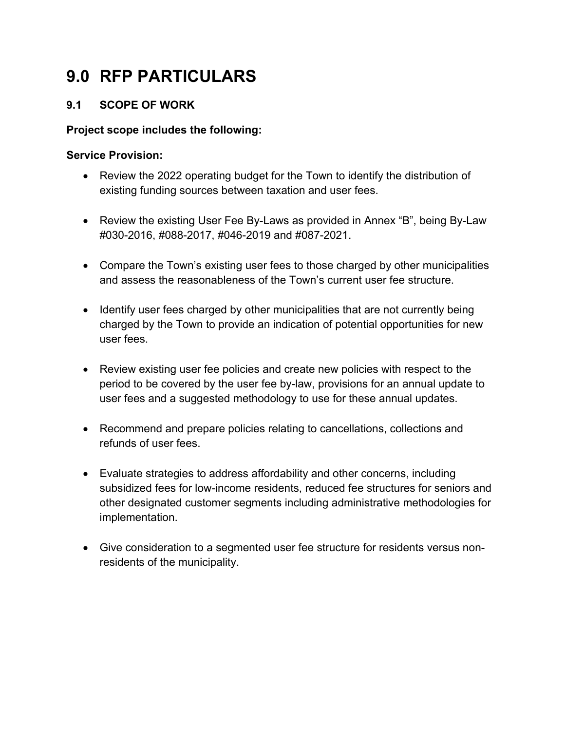### **9.0 RFP PARTICULARS**

#### **9.1 SCOPE OF WORK**

#### **Project scope includes the following:**

#### **Service Provision:**

- Review the 2022 operating budget for the Town to identify the distribution of existing funding sources between taxation and user fees.
- Review the existing User Fee By-Laws as provided in Annex "B", being By-Law #030-2016, #088-2017, #046-2019 and #087-2021.
- Compare the Town's existing user fees to those charged by other municipalities and assess the reasonableness of the Town's current user fee structure.
- Identify user fees charged by other municipalities that are not currently being charged by the Town to provide an indication of potential opportunities for new user fees.
- Review existing user fee policies and create new policies with respect to the period to be covered by the user fee by-law, provisions for an annual update to user fees and a suggested methodology to use for these annual updates.
- Recommend and prepare policies relating to cancellations, collections and refunds of user fees.
- Evaluate strategies to address affordability and other concerns, including subsidized fees for low-income residents, reduced fee structures for seniors and other designated customer segments including administrative methodologies for implementation.
- Give consideration to a segmented user fee structure for residents versus nonresidents of the municipality.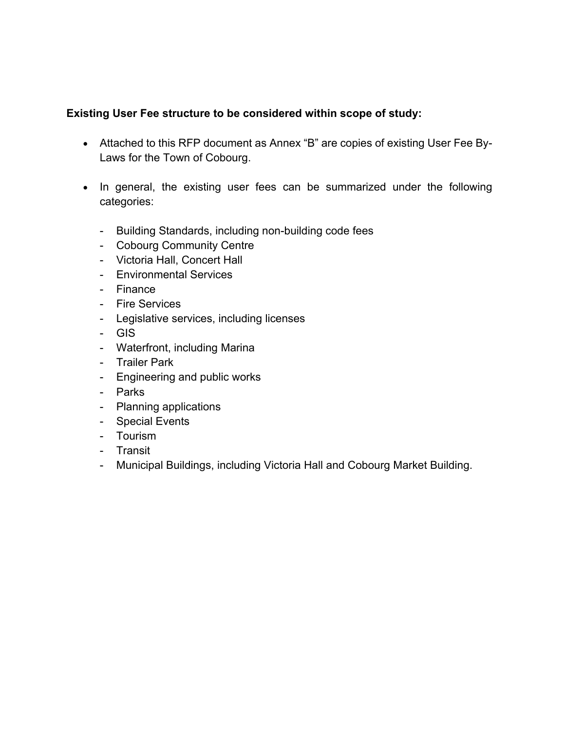#### **Existing User Fee structure to be considered within scope of study:**

- Attached to this RFP document as Annex "B" are copies of existing User Fee By-Laws for the Town of Cobourg.
- In general, the existing user fees can be summarized under the following categories:
	- Building Standards, including non-building code fees
	- Cobourg Community Centre
	- Victoria Hall, Concert Hall
	- Environmental Services
	- Finance
	- Fire Services
	- Legislative services, including licenses
	- GIS
	- Waterfront, including Marina
	- Trailer Park
	- Engineering and public works
	- Parks
	- Planning applications
	- Special Events
	- Tourism
	- Transit
	- Municipal Buildings, including Victoria Hall and Cobourg Market Building.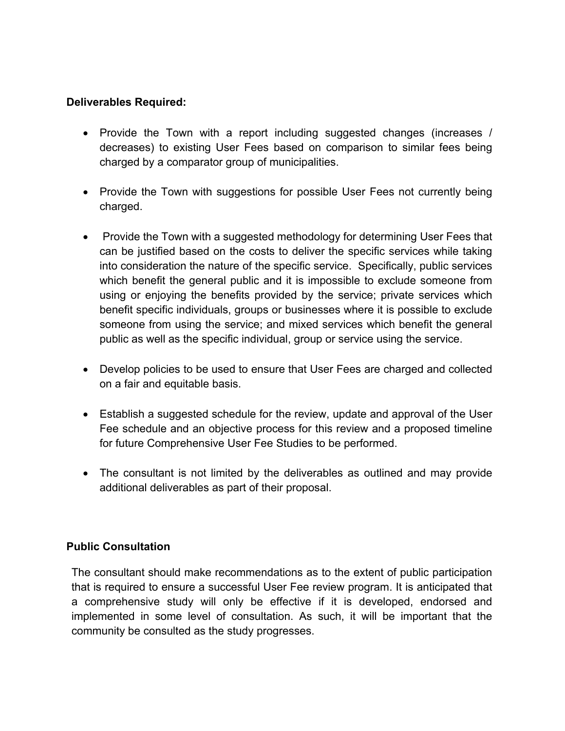#### **Deliverables Required:**

- Provide the Town with a report including suggested changes (increases / decreases) to existing User Fees based on comparison to similar fees being charged by a comparator group of municipalities.
- Provide the Town with suggestions for possible User Fees not currently being charged.
- Provide the Town with a suggested methodology for determining User Fees that can be justified based on the costs to deliver the specific services while taking into consideration the nature of the specific service. Specifically, public services which benefit the general public and it is impossible to exclude someone from using or enjoying the benefits provided by the service; private services which benefit specific individuals, groups or businesses where it is possible to exclude someone from using the service; and mixed services which benefit the general public as well as the specific individual, group or service using the service.
- Develop policies to be used to ensure that User Fees are charged and collected on a fair and equitable basis.
- Establish a suggested schedule for the review, update and approval of the User Fee schedule and an objective process for this review and a proposed timeline for future Comprehensive User Fee Studies to be performed.
- The consultant is not limited by the deliverables as outlined and may provide additional deliverables as part of their proposal.

#### **Public Consultation**

The consultant should make recommendations as to the extent of public participation that is required to ensure a successful User Fee review program. It is anticipated that a comprehensive study will only be effective if it is developed, endorsed and implemented in some level of consultation. As such, it will be important that the community be consulted as the study progresses.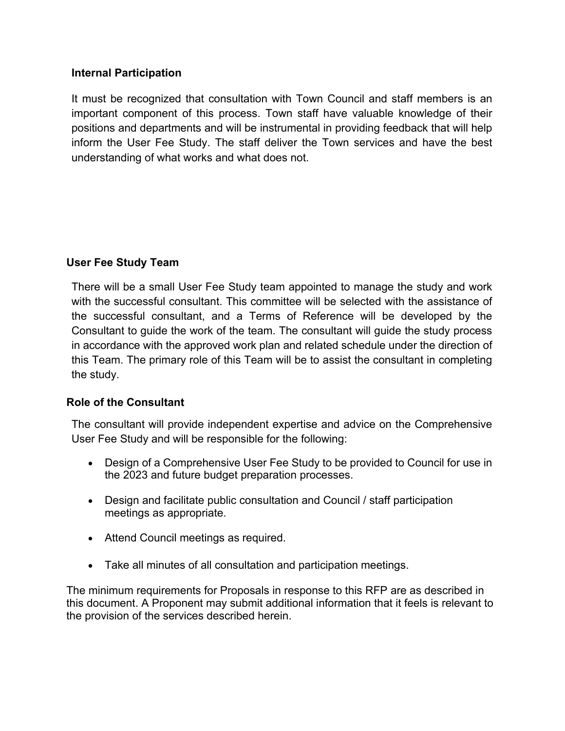#### **Internal Participation**

It must be recognized that consultation with Town Council and staff members is an important component of this process. Town staff have valuable knowledge of their positions and departments and will be instrumental in providing feedback that will help inform the User Fee Study. The staff deliver the Town services and have the best understanding of what works and what does not.

#### **User Fee Study Team**

There will be a small User Fee Study team appointed to manage the study and work with the successful consultant. This committee will be selected with the assistance of the successful consultant, and a Terms of Reference will be developed by the Consultant to guide the work of the team. The consultant will guide the study process in accordance with the approved work plan and related schedule under the direction of this Team. The primary role of this Team will be to assist the consultant in completing the study.

#### **Role of the Consultant**

The consultant will provide independent expertise and advice on the Comprehensive User Fee Study and will be responsible for the following:

- Design of a Comprehensive User Fee Study to be provided to Council for use in the 2023 and future budget preparation processes.
- Design and facilitate public consultation and Council / staff participation meetings as appropriate.
- Attend Council meetings as required.
- Take all minutes of all consultation and participation meetings.

The minimum requirements for Proposals in response to this RFP are as described in this document. A Proponent may submit additional information that it feels is relevant to the provision of the services described herein.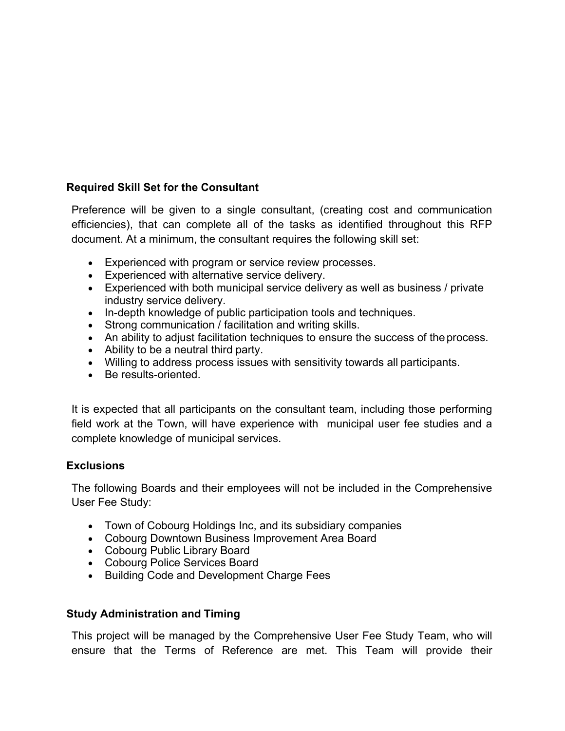#### **Required Skill Set for the Consultant**

Preference will be given to a single consultant, (creating cost and communication efficiencies), that can complete all of the tasks as identified throughout this RFP document. At a minimum, the consultant requires the following skill set:

- Experienced with program or service review processes.
- Experienced with alternative service delivery.
- Experienced with both municipal service delivery as well as business / private industry service delivery.
- In-depth knowledge of public participation tools and techniques.
- Strong communication / facilitation and writing skills.
- An ability to adjust facilitation techniques to ensure the success of the process.
- Ability to be a neutral third party.
- Willing to address process issues with sensitivity towards all participants.
- Be results-oriented.

It is expected that all participants on the consultant team, including those performing field work at the Town, will have experience with municipal user fee studies and a complete knowledge of municipal services.

#### **Exclusions**

The following Boards and their employees will not be included in the Comprehensive User Fee Study:

- Town of Cobourg Holdings Inc, and its subsidiary companies
- Cobourg Downtown Business Improvement Area Board
- Cobourg Public Library Board
- Cobourg Police Services Board
- Building Code and Development Charge Fees

#### **Study Administration and Timing**

This project will be managed by the Comprehensive User Fee Study Team, who will ensure that the Terms of Reference are met. This Team will provide their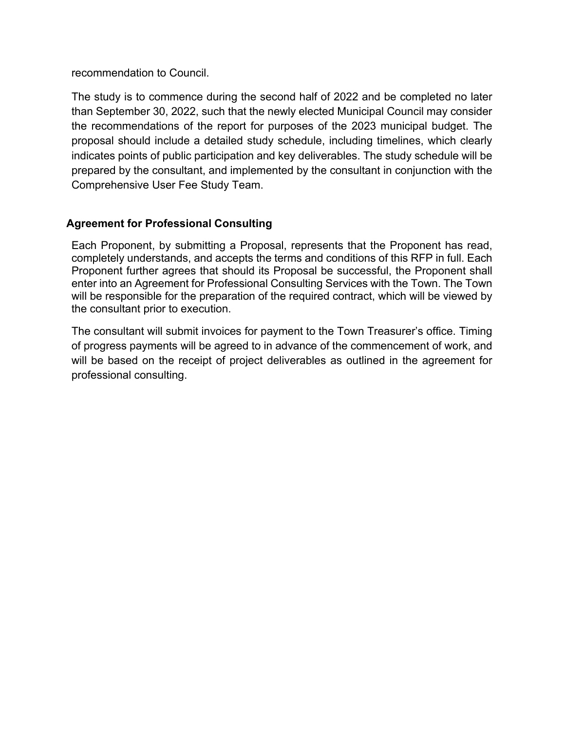recommendation to Council.

The study is to commence during the second half of 2022 and be completed no later than September 30, 2022, such that the newly elected Municipal Council may consider the recommendations of the report for purposes of the 2023 municipal budget. The proposal should include a detailed study schedule, including timelines, which clearly indicates points of public participation and key deliverables. The study schedule will be prepared by the consultant, and implemented by the consultant in conjunction with the Comprehensive User Fee Study Team.

#### **Agreement for Professional Consulting**

Each Proponent, by submitting a Proposal, represents that the Proponent has read, completely understands, and accepts the terms and conditions of this RFP in full. Each Proponent further agrees that should its Proposal be successful, the Proponent shall enter into an Agreement for Professional Consulting Services with the Town. The Town will be responsible for the preparation of the required contract, which will be viewed by the consultant prior to execution.

The consultant will submit invoices for payment to the Town Treasurer's office. Timing of progress payments will be agreed to in advance of the commencement of work, and will be based on the receipt of project deliverables as outlined in the agreement for professional consulting.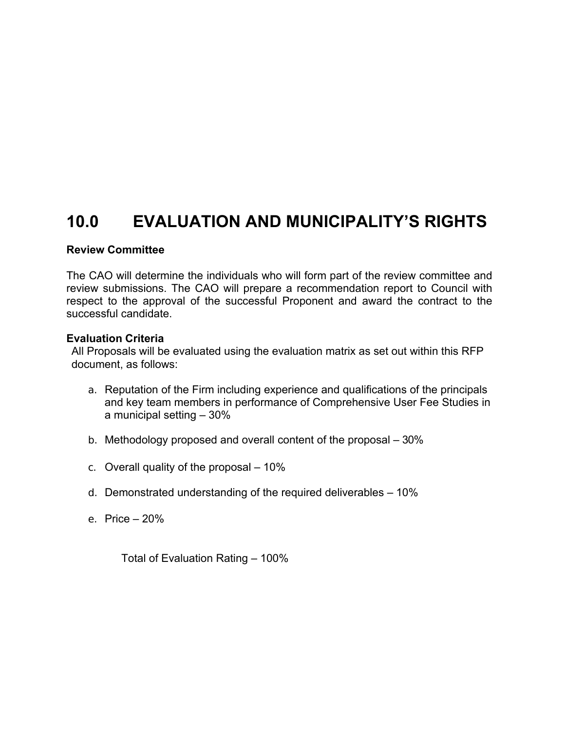### **10.0 EVALUATION AND MUNICIPALITY'S RIGHTS**

#### **Review Committee**

The CAO will determine the individuals who will form part of the review committee and review submissions. The CAO will prepare a recommendation report to Council with respect to the approval of the successful Proponent and award the contract to the successful candidate.

#### **Evaluation Criteria**

All Proposals will be evaluated using the evaluation matrix as set out within this RFP document, as follows:

- a. Reputation of the Firm including experience and qualifications of the principals and key team members in performance of Comprehensive User Fee Studies in a municipal setting – 30%
- b. Methodology proposed and overall content of the proposal 30%
- c. Overall quality of the proposal 10%
- d. Demonstrated understanding of the required deliverables 10%
- e. Price 20%

Total of Evaluation Rating – 100%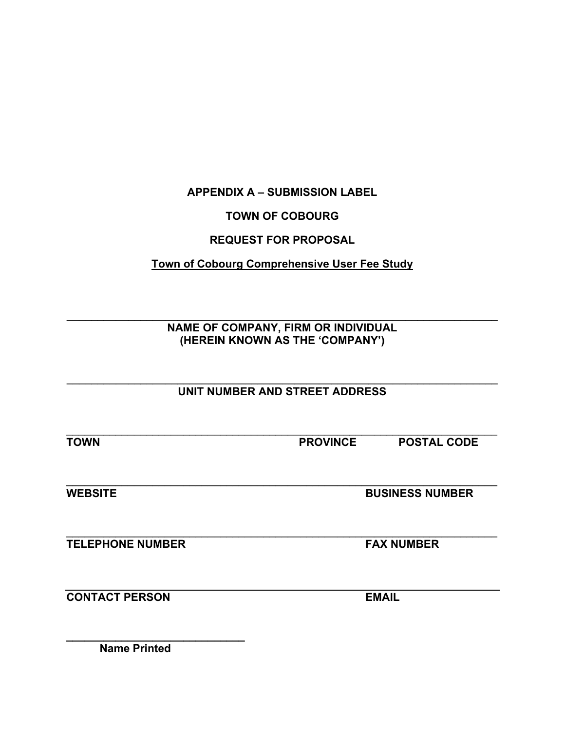#### **APPENDIX A – SUBMISSION LABEL**

#### **TOWN OF COBOURG**

#### **REQUEST FOR PROPOSAL**

#### **Town of Cobourg Comprehensive User Fee Study**

\_\_\_\_\_\_\_\_\_\_\_\_\_\_\_\_\_\_\_\_\_\_\_\_\_\_\_\_\_\_\_\_\_\_\_\_\_\_\_\_\_\_\_\_\_\_\_\_\_\_\_\_\_\_\_\_\_\_\_\_\_\_\_\_\_\_\_\_\_\_ **NAME OF COMPANY, FIRM OR INDIVIDUAL (HEREIN KNOWN AS THE 'COMPANY')** 

#### \_\_\_\_\_\_\_\_\_\_\_\_\_\_\_\_\_\_\_\_\_\_\_\_\_\_\_\_\_\_\_\_\_\_\_\_\_\_\_\_\_\_\_\_\_\_\_\_\_\_\_\_\_\_\_\_\_\_\_\_\_\_\_\_\_\_\_\_\_\_ **UNIT NUMBER AND STREET ADDRESS**

 $\mathcal{L}_\mathcal{L} = \mathcal{L}_\mathcal{L} = \mathcal{L}_\mathcal{L} = \mathcal{L}_\mathcal{L} = \mathcal{L}_\mathcal{L} = \mathcal{L}_\mathcal{L} = \mathcal{L}_\mathcal{L} = \mathcal{L}_\mathcal{L} = \mathcal{L}_\mathcal{L} = \mathcal{L}_\mathcal{L} = \mathcal{L}_\mathcal{L} = \mathcal{L}_\mathcal{L} = \mathcal{L}_\mathcal{L} = \mathcal{L}_\mathcal{L} = \mathcal{L}_\mathcal{L} = \mathcal{L}_\mathcal{L} = \mathcal{L}_\mathcal{L}$ 

\_\_\_\_\_\_\_\_\_\_\_\_\_\_\_\_\_\_\_\_\_\_\_\_\_\_\_\_\_\_\_\_\_\_\_\_\_\_\_\_\_\_\_\_\_\_\_\_\_\_\_\_\_\_\_\_\_\_\_\_\_\_\_\_\_\_\_\_\_\_

**TOWN PROVINCE POSTAL CODE**

**WEBSITE BUSINESS NUMBER** 

 $\mathcal{L}_\mathcal{L} = \mathcal{L}_\mathcal{L} = \mathcal{L}_\mathcal{L} = \mathcal{L}_\mathcal{L} = \mathcal{L}_\mathcal{L} = \mathcal{L}_\mathcal{L} = \mathcal{L}_\mathcal{L} = \mathcal{L}_\mathcal{L} = \mathcal{L}_\mathcal{L} = \mathcal{L}_\mathcal{L} = \mathcal{L}_\mathcal{L} = \mathcal{L}_\mathcal{L} = \mathcal{L}_\mathcal{L} = \mathcal{L}_\mathcal{L} = \mathcal{L}_\mathcal{L} = \mathcal{L}_\mathcal{L} = \mathcal{L}_\mathcal{L}$ **TELEPHONE NUMBER FAX NUMBER** 

**CONTACT PERSON EMAIL** 

**\_\_\_\_\_\_\_\_\_\_\_\_\_\_\_\_\_\_\_\_\_\_\_\_\_\_\_\_\_ Name Printed**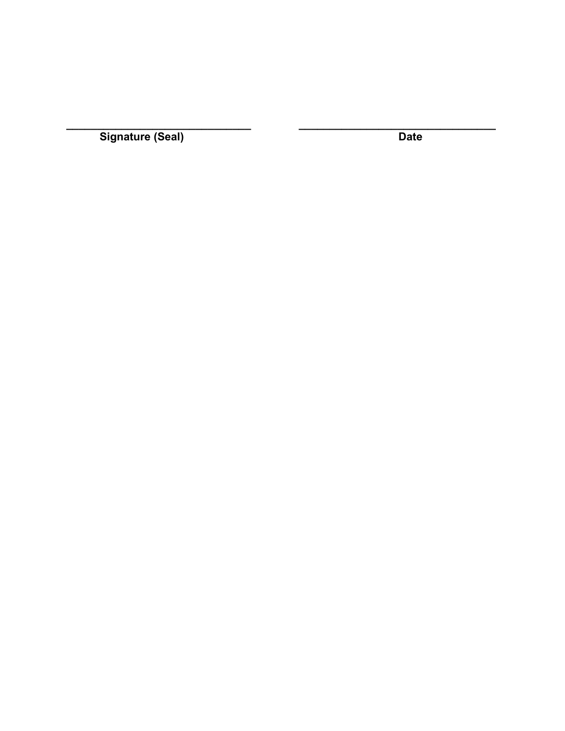Signature (Seal)

**Date**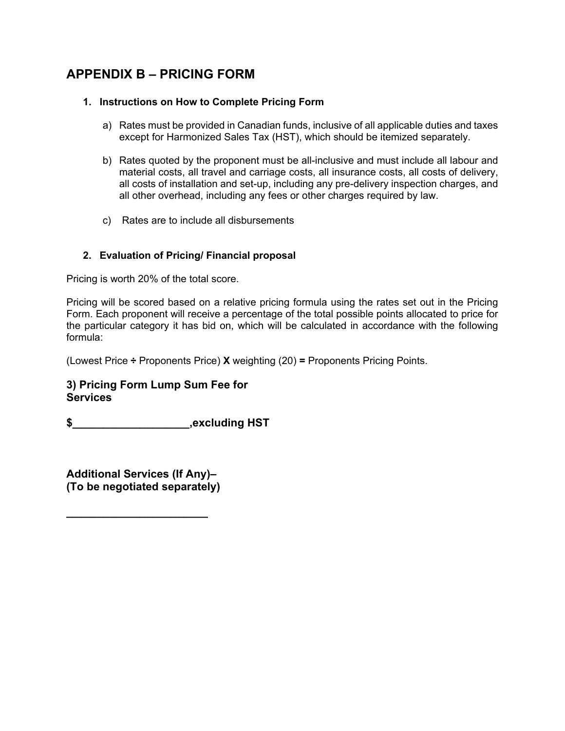### **APPENDIX B – PRICING FORM**

#### **1. Instructions on How to Complete Pricing Form**

- a) Rates must be provided in Canadian funds, inclusive of all applicable duties and taxes except for Harmonized Sales Tax (HST), which should be itemized separately.
- b) Rates quoted by the proponent must be all-inclusive and must include all labour and material costs, all travel and carriage costs, all insurance costs, all costs of delivery, all costs of installation and set-up, including any pre-delivery inspection charges, and all other overhead, including any fees or other charges required by law.
- c) Rates are to include all disbursements

#### **2. Evaluation of Pricing/ Financial proposal**

Pricing is worth 20% of the total score.

Pricing will be scored based on a relative pricing formula using the rates set out in the Pricing Form. Each proponent will receive a percentage of the total possible points allocated to price for the particular category it has bid on, which will be calculated in accordance with the following formula:

(Lowest Price **÷** Proponents Price) **X** weighting (20) **=** Proponents Pricing Points.

#### **3) Pricing Form Lump Sum Fee for Services**

**\$\_\_\_\_\_\_\_\_\_\_\_\_\_\_\_\_\_\_\_,excluding HST** 

**Additional Services (If Any)– (To be negotiated separately)** 

**\_\_\_\_\_\_\_\_\_\_\_\_\_\_\_\_\_\_\_\_\_\_\_**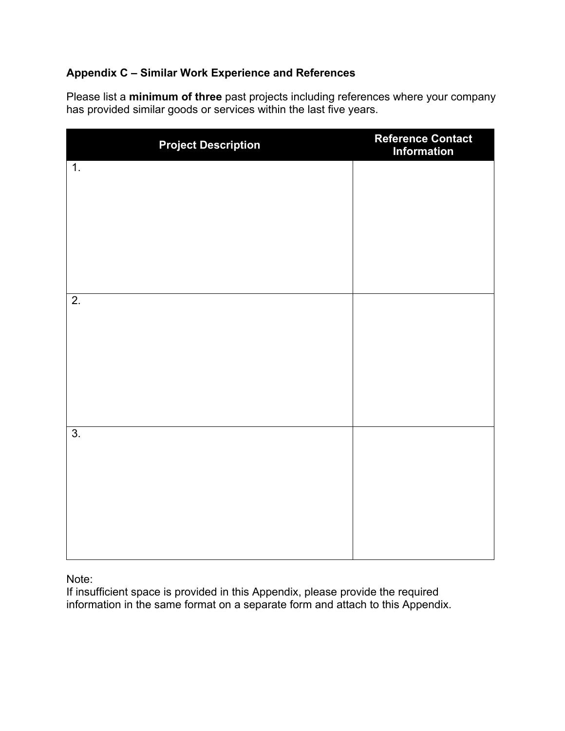#### **Appendix C – Similar Work Experience and References**

Please list a **minimum of three** past projects including references where your company has provided similar goods or services within the last five years.

| <b>Project Description</b> | Reference Contact<br>Information |
|----------------------------|----------------------------------|
| $\overline{1}$ .           |                                  |
|                            |                                  |
|                            |                                  |
|                            |                                  |
| $\overline{2}$ .           |                                  |
|                            |                                  |
|                            |                                  |
|                            |                                  |
| $\overline{3}$ .           |                                  |
|                            |                                  |
|                            |                                  |
|                            |                                  |
|                            |                                  |

Note:

If insufficient space is provided in this Appendix, please provide the required information in the same format on a separate form and attach to this Appendix.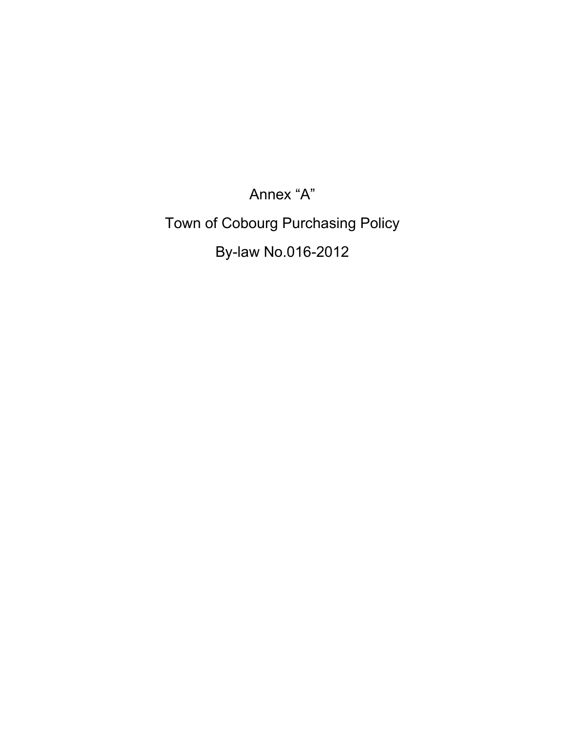Annex "A" Town of Cobourg Purchasing Policy By-law No.016-2012